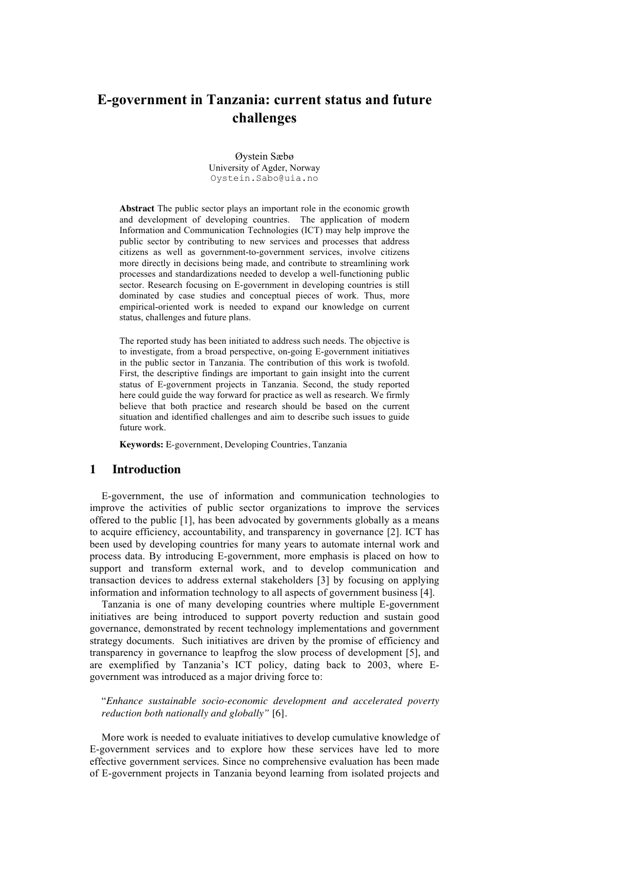# **E-government in Tanzania: current status and future challenges**

Øystein Sæbø University of Agder, Norway Oystein.Sabo@uia.no

**Abstract** The public sector plays an important role in the economic growth and development of developing countries. The application of modern Information and Communication Technologies (ICT) may help improve the public sector by contributing to new services and processes that address citizens as well as government-to-government services, involve citizens more directly in decisions being made, and contribute to streamlining work processes and standardizations needed to develop a well-functioning public sector. Research focusing on E-government in developing countries is still dominated by case studies and conceptual pieces of work. Thus, more empirical-oriented work is needed to expand our knowledge on current status, challenges and future plans.

The reported study has been initiated to address such needs. The objective is to investigate, from a broad perspective, on-going E-government initiatives in the public sector in Tanzania. The contribution of this work is twofold. First, the descriptive findings are important to gain insight into the current status of E-government projects in Tanzania. Second, the study reported here could guide the way forward for practice as well as research. We firmly believe that both practice and research should be based on the current situation and identified challenges and aim to describe such issues to guide future work.

**Keywords:** E-government, Developing Countries, Tanzania

## **1 Introduction**

E-government, the use of information and communication technologies to improve the activities of public sector organizations to improve the services offered to the public [1], has been advocated by governments globally as a means to acquire efficiency, accountability, and transparency in governance [2]. ICT has been used by developing countries for many years to automate internal work and process data. By introducing E-government, more emphasis is placed on how to support and transform external work, and to develop communication and transaction devices to address external stakeholders [3] by focusing on applying information and information technology to all aspects of government business [4].

Tanzania is one of many developing countries where multiple E-government initiatives are being introduced to support poverty reduction and sustain good governance, demonstrated by recent technology implementations and government strategy documents. Such initiatives are driven by the promise of efficiency and transparency in governance to leapfrog the slow process of development [5], and are exemplified by Tanzania's ICT policy, dating back to 2003, where Egovernment was introduced as a major driving force to:

"*Enhance sustainable socio-economic development and accelerated poverty reduction both nationally and globally"* [6].

More work is needed to evaluate initiatives to develop cumulative knowledge of E-government services and to explore how these services have led to more effective government services. Since no comprehensive evaluation has been made of E-government projects in Tanzania beyond learning from isolated projects and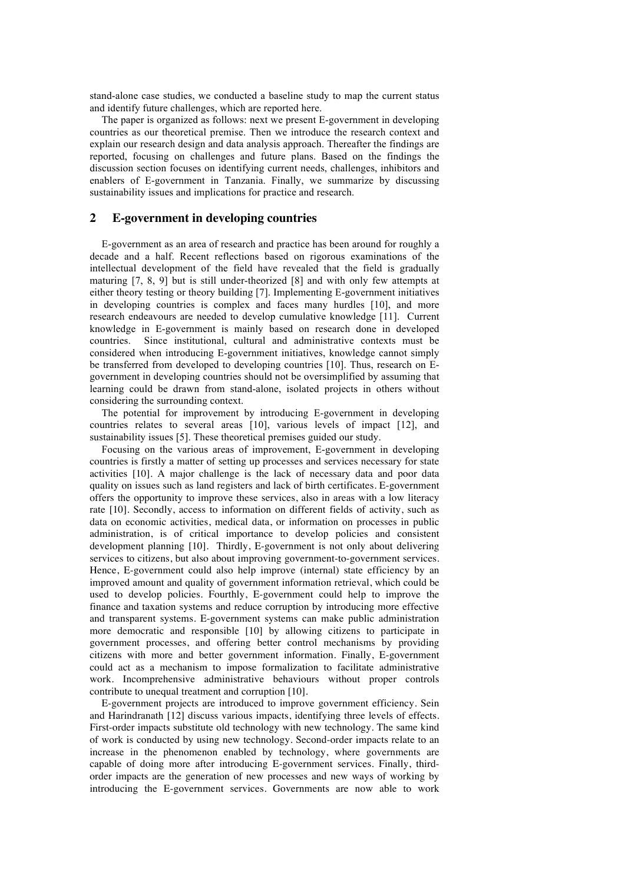stand-alone case studies, we conducted a baseline study to map the current status and identify future challenges, which are reported here.

The paper is organized as follows: next we present E-government in developing countries as our theoretical premise. Then we introduce the research context and explain our research design and data analysis approach. Thereafter the findings are reported, focusing on challenges and future plans. Based on the findings the discussion section focuses on identifying current needs, challenges, inhibitors and enablers of E-government in Tanzania. Finally, we summarize by discussing sustainability issues and implications for practice and research.

## **2 E-government in developing countries**

E-government as an area of research and practice has been around for roughly a decade and a half. Recent reflections based on rigorous examinations of the intellectual development of the field have revealed that the field is gradually maturing [7, 8, 9] but is still under-theorized [8] and with only few attempts at either theory testing or theory building [7]. Implementing E-government initiatives in developing countries is complex and faces many hurdles [10], and more research endeavours are needed to develop cumulative knowledge [11]. Current knowledge in E-government is mainly based on research done in developed countries. Since institutional, cultural and administrative contexts must be considered when introducing E-government initiatives, knowledge cannot simply be transferred from developed to developing countries [10]. Thus, research on Egovernment in developing countries should not be oversimplified by assuming that learning could be drawn from stand-alone, isolated projects in others without considering the surrounding context.

The potential for improvement by introducing E-government in developing countries relates to several areas [10], various levels of impact [12], and sustainability issues [5]. These theoretical premises guided our study.

Focusing on the various areas of improvement, E-government in developing countries is firstly a matter of setting up processes and services necessary for state activities [10]. A major challenge is the lack of necessary data and poor data quality on issues such as land registers and lack of birth certificates. E-government offers the opportunity to improve these services, also in areas with a low literacy rate [10]. Secondly, access to information on different fields of activity, such as data on economic activities, medical data, or information on processes in public administration, is of critical importance to develop policies and consistent development planning [10]. Thirdly, E-government is not only about delivering services to citizens, but also about improving government-to-government services. Hence, E-government could also help improve (internal) state efficiency by an improved amount and quality of government information retrieval, which could be used to develop policies. Fourthly, E-government could help to improve the finance and taxation systems and reduce corruption by introducing more effective and transparent systems. E-government systems can make public administration more democratic and responsible [10] by allowing citizens to participate in government processes, and offering better control mechanisms by providing citizens with more and better government information. Finally, E-government could act as a mechanism to impose formalization to facilitate administrative work. Incomprehensive administrative behaviours without proper controls contribute to unequal treatment and corruption [10].

E-government projects are introduced to improve government efficiency. Sein and Harindranath [12] discuss various impacts, identifying three levels of effects. First-order impacts substitute old technology with new technology. The same kind of work is conducted by using new technology. Second-order impacts relate to an increase in the phenomenon enabled by technology, where governments are capable of doing more after introducing E-government services. Finally, thirdorder impacts are the generation of new processes and new ways of working by introducing the E-government services. Governments are now able to work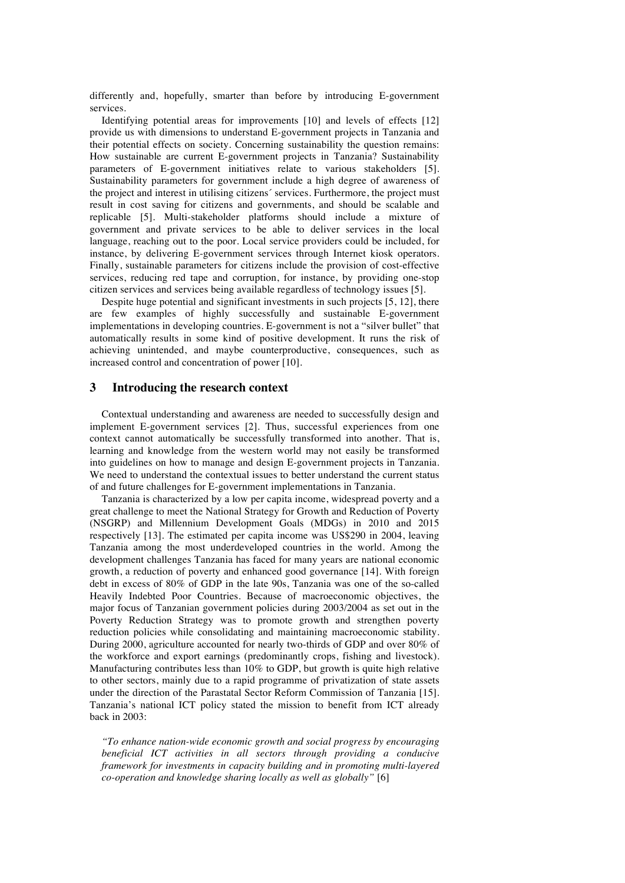differently and, hopefully, smarter than before by introducing E-government services.

Identifying potential areas for improvements [10] and levels of effects [12] provide us with dimensions to understand E-government projects in Tanzania and their potential effects on society. Concerning sustainability the question remains: How sustainable are current E-government projects in Tanzania? Sustainability parameters of E-government initiatives relate to various stakeholders [5]. Sustainability parameters for government include a high degree of awareness of the project and interest in utilising citizens´ services. Furthermore, the project must result in cost saving for citizens and governments, and should be scalable and replicable [5]. Multi-stakeholder platforms should include a mixture of government and private services to be able to deliver services in the local language, reaching out to the poor. Local service providers could be included, for instance, by delivering E-government services through Internet kiosk operators. Finally, sustainable parameters for citizens include the provision of cost-effective services, reducing red tape and corruption, for instance, by providing one-stop citizen services and services being available regardless of technology issues [5].

Despite huge potential and significant investments in such projects [5, 12], there are few examples of highly successfully and sustainable E-government implementations in developing countries. E-government is not a "silver bullet" that automatically results in some kind of positive development. It runs the risk of achieving unintended, and maybe counterproductive, consequences, such as increased control and concentration of power [10].

#### **3 Introducing the research context**

Contextual understanding and awareness are needed to successfully design and implement E-government services [2]. Thus, successful experiences from one context cannot automatically be successfully transformed into another. That is, learning and knowledge from the western world may not easily be transformed into guidelines on how to manage and design E-government projects in Tanzania. We need to understand the contextual issues to better understand the current status of and future challenges for E-government implementations in Tanzania.

Tanzania is characterized by a low per capita income, widespread poverty and a great challenge to meet the National Strategy for Growth and Reduction of Poverty (NSGRP) and Millennium Development Goals (MDGs) in 2010 and 2015 respectively [13]. The estimated per capita income was US\$290 in 2004, leaving Tanzania among the most underdeveloped countries in the world. Among the development challenges Tanzania has faced for many years are national economic growth, a reduction of poverty and enhanced good governance [14]. With foreign debt in excess of 80% of GDP in the late 90s, Tanzania was one of the so-called Heavily Indebted Poor Countries. Because of macroeconomic objectives, the major focus of Tanzanian government policies during 2003/2004 as set out in the Poverty Reduction Strategy was to promote growth and strengthen poverty reduction policies while consolidating and maintaining macroeconomic stability. During 2000, agriculture accounted for nearly two-thirds of GDP and over 80% of the workforce and export earnings (predominantly crops, fishing and livestock). Manufacturing contributes less than 10% to GDP, but growth is quite high relative to other sectors, mainly due to a rapid programme of privatization of state assets under the direction of the Parastatal Sector Reform Commission of Tanzania [15]. Tanzania's national ICT policy stated the mission to benefit from ICT already back in 2003:

*"To enhance nation-wide economic growth and social progress by encouraging beneficial ICT activities in all sectors through providing a conducive framework for investments in capacity building and in promoting multi-layered co-operation and knowledge sharing locally as well as globally"* [6]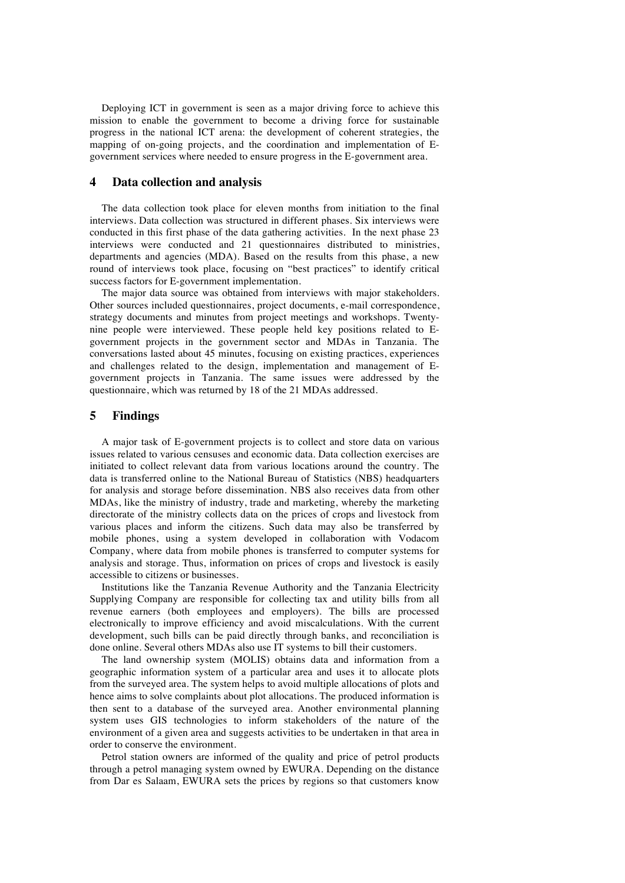Deploying ICT in government is seen as a major driving force to achieve this mission to enable the government to become a driving force for sustainable progress in the national ICT arena: the development of coherent strategies, the mapping of on-going projects, and the coordination and implementation of Egovernment services where needed to ensure progress in the E-government area.

#### **4 Data collection and analysis**

The data collection took place for eleven months from initiation to the final interviews. Data collection was structured in different phases. Six interviews were conducted in this first phase of the data gathering activities. In the next phase 23 interviews were conducted and 21 questionnaires distributed to ministries, departments and agencies (MDA). Based on the results from this phase, a new round of interviews took place, focusing on "best practices" to identify critical success factors for E-government implementation.

The major data source was obtained from interviews with major stakeholders. Other sources included questionnaires, project documents, e-mail correspondence, strategy documents and minutes from project meetings and workshops. Twentynine people were interviewed. These people held key positions related to Egovernment projects in the government sector and MDAs in Tanzania. The conversations lasted about 45 minutes, focusing on existing practices, experiences and challenges related to the design, implementation and management of Egovernment projects in Tanzania. The same issues were addressed by the questionnaire, which was returned by 18 of the 21 MDAs addressed.

#### **5 Findings**

A major task of E-government projects is to collect and store data on various issues related to various censuses and economic data. Data collection exercises are initiated to collect relevant data from various locations around the country. The data is transferred online to the National Bureau of Statistics (NBS) headquarters for analysis and storage before dissemination. NBS also receives data from other MDAs, like the ministry of industry, trade and marketing, whereby the marketing directorate of the ministry collects data on the prices of crops and livestock from various places and inform the citizens. Such data may also be transferred by mobile phones, using a system developed in collaboration with Vodacom Company, where data from mobile phones is transferred to computer systems for analysis and storage. Thus, information on prices of crops and livestock is easily accessible to citizens or businesses.

Institutions like the Tanzania Revenue Authority and the Tanzania Electricity Supplying Company are responsible for collecting tax and utility bills from all revenue earners (both employees and employers). The bills are processed electronically to improve efficiency and avoid miscalculations. With the current development, such bills can be paid directly through banks, and reconciliation is done online. Several others MDAs also use IT systems to bill their customers.

The land ownership system (MOLIS) obtains data and information from a geographic information system of a particular area and uses it to allocate plots from the surveyed area. The system helps to avoid multiple allocations of plots and hence aims to solve complaints about plot allocations. The produced information is then sent to a database of the surveyed area. Another environmental planning system uses GIS technologies to inform stakeholders of the nature of the environment of a given area and suggests activities to be undertaken in that area in order to conserve the environment.

Petrol station owners are informed of the quality and price of petrol products through a petrol managing system owned by EWURA. Depending on the distance from Dar es Salaam, EWURA sets the prices by regions so that customers know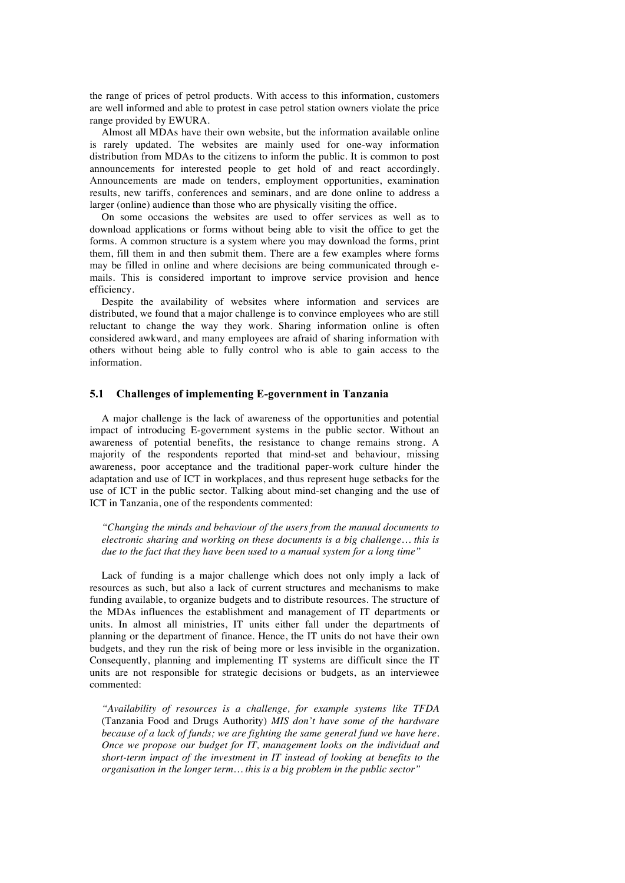the range of prices of petrol products. With access to this information, customers are well informed and able to protest in case petrol station owners violate the price range provided by EWURA.

Almost all MDAs have their own website, but the information available online is rarely updated. The websites are mainly used for one-way information distribution from MDAs to the citizens to inform the public. It is common to post announcements for interested people to get hold of and react accordingly. Announcements are made on tenders, employment opportunities, examination results, new tariffs, conferences and seminars, and are done online to address a larger (online) audience than those who are physically visiting the office.

On some occasions the websites are used to offer services as well as to download applications or forms without being able to visit the office to get the forms. A common structure is a system where you may download the forms, print them, fill them in and then submit them. There are a few examples where forms may be filled in online and where decisions are being communicated through emails. This is considered important to improve service provision and hence efficiency.

Despite the availability of websites where information and services are distributed, we found that a major challenge is to convince employees who are still reluctant to change the way they work. Sharing information online is often considered awkward, and many employees are afraid of sharing information with others without being able to fully control who is able to gain access to the information.

#### **5.1 Challenges of implementing E-government in Tanzania**

A major challenge is the lack of awareness of the opportunities and potential impact of introducing E-government systems in the public sector. Without an awareness of potential benefits, the resistance to change remains strong. A majority of the respondents reported that mind-set and behaviour, missing awareness, poor acceptance and the traditional paper-work culture hinder the adaptation and use of ICT in workplaces, and thus represent huge setbacks for the use of ICT in the public sector. Talking about mind-set changing and the use of ICT in Tanzania, one of the respondents commented:

*"Changing the minds and behaviour of the users from the manual documents to electronic sharing and working on these documents is a big challenge… this is due to the fact that they have been used to a manual system for a long time"*

Lack of funding is a major challenge which does not only imply a lack of resources as such, but also a lack of current structures and mechanisms to make funding available, to organize budgets and to distribute resources. The structure of the MDAs influences the establishment and management of IT departments or units. In almost all ministries, IT units either fall under the departments of planning or the department of finance. Hence, the IT units do not have their own budgets, and they run the risk of being more or less invisible in the organization. Consequently, planning and implementing IT systems are difficult since the IT units are not responsible for strategic decisions or budgets, as an interviewee commented:

*"Availability of resources is a challenge, for example systems like TFDA* (Tanzania Food and Drugs Authority) *MIS don't have some of the hardware because of a lack of funds; we are fighting the same general fund we have here. Once we propose our budget for IT, management looks on the individual and short-term impact of the investment in IT instead of looking at benefits to the organisation in the longer term… this is a big problem in the public sector"*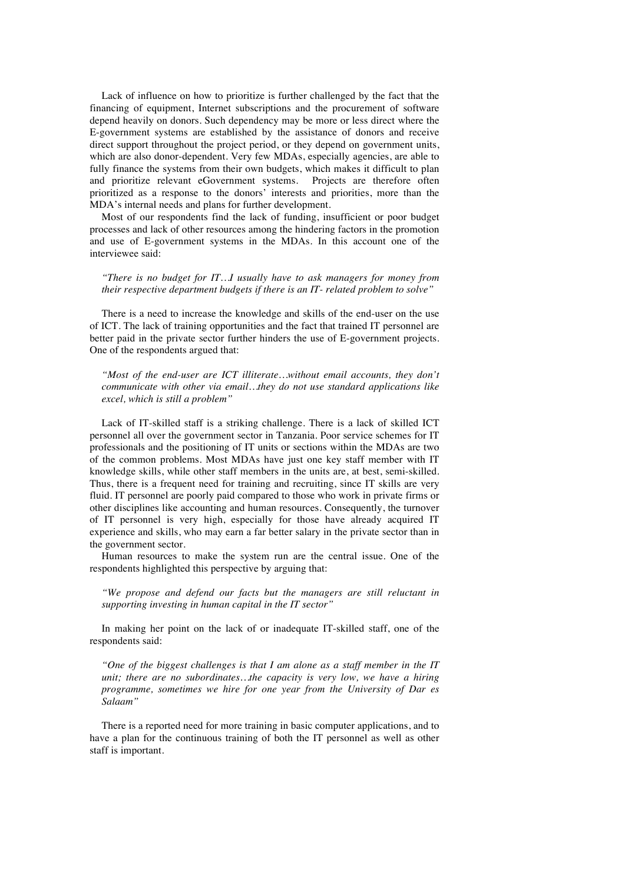Lack of influence on how to prioritize is further challenged by the fact that the financing of equipment, Internet subscriptions and the procurement of software depend heavily on donors. Such dependency may be more or less direct where the E-government systems are established by the assistance of donors and receive direct support throughout the project period, or they depend on government units, which are also donor-dependent. Very few MDAs, especially agencies, are able to fully finance the systems from their own budgets, which makes it difficult to plan and prioritize relevant eGovernment systems. Projects are therefore often prioritized as a response to the donors' interests and priorities, more than the MDA's internal needs and plans for further development.

Most of our respondents find the lack of funding, insufficient or poor budget processes and lack of other resources among the hindering factors in the promotion and use of E-government systems in the MDAs. In this account one of the interviewee said:

*"There is no budget for IT…I usually have to ask managers for money from their respective department budgets if there is an IT- related problem to solve"* 

There is a need to increase the knowledge and skills of the end-user on the use of ICT. The lack of training opportunities and the fact that trained IT personnel are better paid in the private sector further hinders the use of E-government projects. One of the respondents argued that:

*"Most of the end-user are ICT illiterate…without email accounts, they don't communicate with other via email…they do not use standard applications like excel, which is still a problem"*

Lack of IT-skilled staff is a striking challenge. There is a lack of skilled ICT personnel all over the government sector in Tanzania. Poor service schemes for IT professionals and the positioning of IT units or sections within the MDAs are two of the common problems. Most MDAs have just one key staff member with IT knowledge skills, while other staff members in the units are, at best, semi-skilled. Thus, there is a frequent need for training and recruiting, since IT skills are very fluid. IT personnel are poorly paid compared to those who work in private firms or other disciplines like accounting and human resources. Consequently, the turnover of IT personnel is very high, especially for those have already acquired IT experience and skills, who may earn a far better salary in the private sector than in the government sector.

Human resources to make the system run are the central issue. One of the respondents highlighted this perspective by arguing that:

*"We propose and defend our facts but the managers are still reluctant in supporting investing in human capital in the IT sector"*

In making her point on the lack of or inadequate IT-skilled staff, one of the respondents said:

*"One of the biggest challenges is that I am alone as a staff member in the IT unit; there are no subordinates…the capacity is very low, we have a hiring programme, sometimes we hire for one year from the University of Dar es Salaam"*

There is a reported need for more training in basic computer applications, and to have a plan for the continuous training of both the IT personnel as well as other staff is important.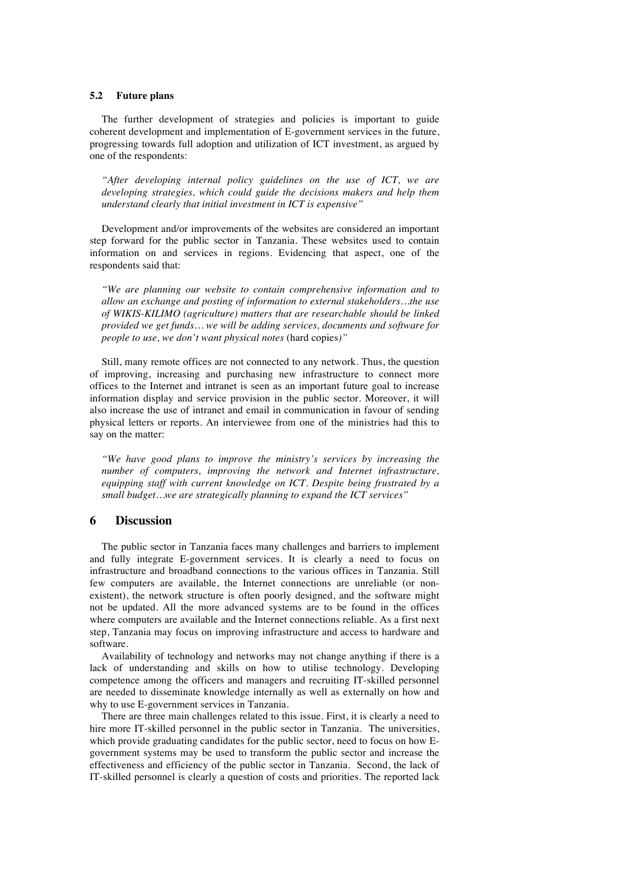#### **5.2 Future plans**

The further development of strategies and policies is important to guide coherent development and implementation of E-government services in the future, progressing towards full adoption and utilization of ICT investment, as argued by one of the respondents:

*"After developing internal policy guidelines on the use of ICT, we are developing strategies, which could guide the decisions makers and help them understand clearly that initial investment in ICT is expensive"*

Development and/or improvements of the websites are considered an important step forward for the public sector in Tanzania. These websites used to contain information on and services in regions. Evidencing that aspect, one of the respondents said that:

*"We are planning our website to contain comprehensive information and to allow an exchange and posting of information to external stakeholders…the use of WIKIS-KILIMO (agriculture) matters that are researchable should be linked provided we get funds… we will be adding services, documents and software for people to use, we don't want physical notes* (hard copies*)"*

Still, many remote offices are not connected to any network. Thus, the question of improving, increasing and purchasing new infrastructure to connect more offices to the Internet and intranet is seen as an important future goal to increase information display and service provision in the public sector. Moreover, it will also increase the use of intranet and email in communication in favour of sending physical letters or reports. An interviewee from one of the ministries had this to say on the matter:

*"We have good plans to improve the ministry's services by increasing the number of computers, improving the network and Internet infrastructure, equipping staff with current knowledge on ICT. Despite being frustrated by a small budget…we are strategically planning to expand the ICT services"*

#### **6 Discussion**

The public sector in Tanzania faces many challenges and barriers to implement and fully integrate E-government services. It is clearly a need to focus on infrastructure and broadband connections to the various offices in Tanzania. Still few computers are available, the Internet connections are unreliable (or nonexistent), the network structure is often poorly designed, and the software might not be updated. All the more advanced systems are to be found in the offices where computers are available and the Internet connections reliable. As a first next step, Tanzania may focus on improving infrastructure and access to hardware and software.

Availability of technology and networks may not change anything if there is a lack of understanding and skills on how to utilise technology. Developing competence among the officers and managers and recruiting IT-skilled personnel are needed to disseminate knowledge internally as well as externally on how and why to use E-government services in Tanzania.

There are three main challenges related to this issue. First, it is clearly a need to hire more IT-skilled personnel in the public sector in Tanzania. The universities, which provide graduating candidates for the public sector, need to focus on how Egovernment systems may be used to transform the public sector and increase the effectiveness and efficiency of the public sector in Tanzania. Second, the lack of IT-skilled personnel is clearly a question of costs and priorities. The reported lack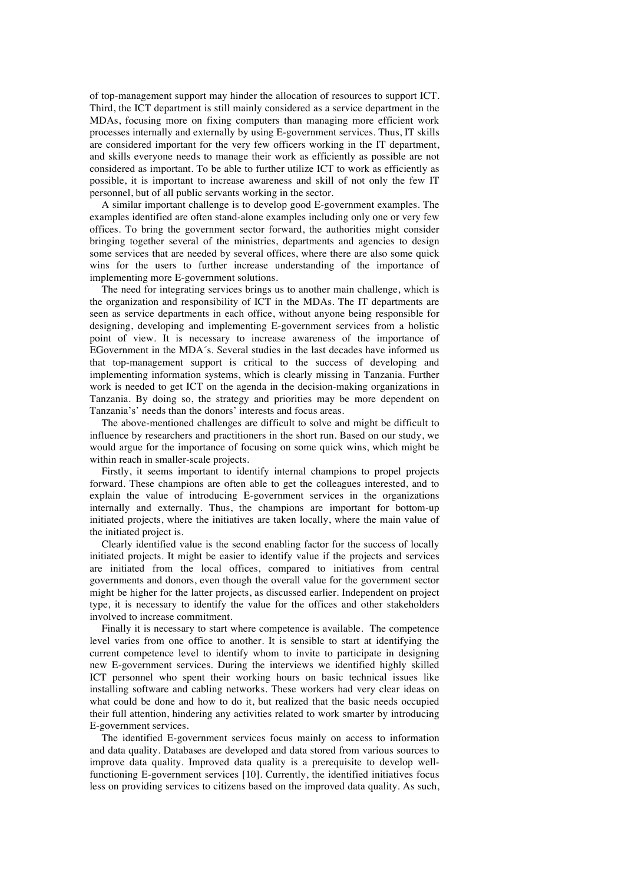of top-management support may hinder the allocation of resources to support ICT. Third, the ICT department is still mainly considered as a service department in the MDAs, focusing more on fixing computers than managing more efficient work processes internally and externally by using E-government services. Thus, IT skills are considered important for the very few officers working in the IT department, and skills everyone needs to manage their work as efficiently as possible are not considered as important. To be able to further utilize ICT to work as efficiently as possible, it is important to increase awareness and skill of not only the few IT personnel, but of all public servants working in the sector.

A similar important challenge is to develop good E-government examples. The examples identified are often stand-alone examples including only one or very few offices. To bring the government sector forward, the authorities might consider bringing together several of the ministries, departments and agencies to design some services that are needed by several offices, where there are also some quick wins for the users to further increase understanding of the importance of implementing more E-government solutions.

The need for integrating services brings us to another main challenge, which is the organization and responsibility of ICT in the MDAs. The IT departments are seen as service departments in each office, without anyone being responsible for designing, developing and implementing E-government services from a holistic point of view. It is necessary to increase awareness of the importance of EGovernment in the MDA´s. Several studies in the last decades have informed us that top-management support is critical to the success of developing and implementing information systems, which is clearly missing in Tanzania. Further work is needed to get ICT on the agenda in the decision-making organizations in Tanzania. By doing so, the strategy and priorities may be more dependent on Tanzania's' needs than the donors' interests and focus areas.

The above-mentioned challenges are difficult to solve and might be difficult to influence by researchers and practitioners in the short run. Based on our study, we would argue for the importance of focusing on some quick wins, which might be within reach in smaller-scale projects.

Firstly, it seems important to identify internal champions to propel projects forward. These champions are often able to get the colleagues interested, and to explain the value of introducing E-government services in the organizations internally and externally. Thus, the champions are important for bottom-up initiated projects, where the initiatives are taken locally, where the main value of the initiated project is.

Clearly identified value is the second enabling factor for the success of locally initiated projects. It might be easier to identify value if the projects and services are initiated from the local offices, compared to initiatives from central governments and donors, even though the overall value for the government sector might be higher for the latter projects, as discussed earlier. Independent on project type, it is necessary to identify the value for the offices and other stakeholders involved to increase commitment.

Finally it is necessary to start where competence is available. The competence level varies from one office to another. It is sensible to start at identifying the current competence level to identify whom to invite to participate in designing new E-government services. During the interviews we identified highly skilled ICT personnel who spent their working hours on basic technical issues like installing software and cabling networks. These workers had very clear ideas on what could be done and how to do it, but realized that the basic needs occupied their full attention, hindering any activities related to work smarter by introducing E-government services.

The identified E-government services focus mainly on access to information and data quality. Databases are developed and data stored from various sources to improve data quality. Improved data quality is a prerequisite to develop wellfunctioning E-government services [10]. Currently, the identified initiatives focus less on providing services to citizens based on the improved data quality. As such,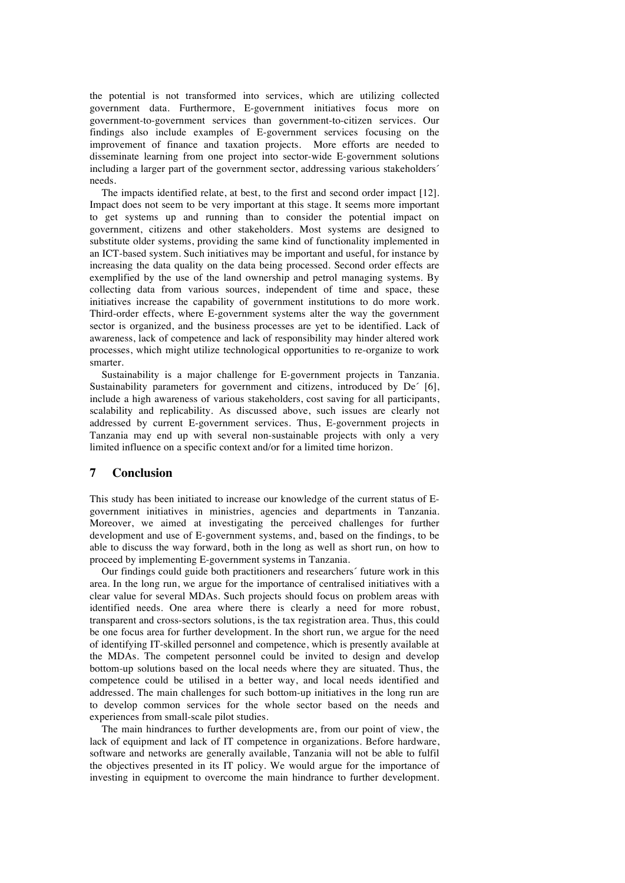the potential is not transformed into services, which are utilizing collected government data. Furthermore, E-government initiatives focus more on government-to-government services than government-to-citizen services. Our findings also include examples of E-government services focusing on the improvement of finance and taxation projects. More efforts are needed to disseminate learning from one project into sector-wide E-government solutions including a larger part of the government sector, addressing various stakeholders´ needs.

The impacts identified relate, at best, to the first and second order impact [12]. Impact does not seem to be very important at this stage. It seems more important to get systems up and running than to consider the potential impact on government, citizens and other stakeholders. Most systems are designed to substitute older systems, providing the same kind of functionality implemented in an ICT-based system. Such initiatives may be important and useful, for instance by increasing the data quality on the data being processed. Second order effects are exemplified by the use of the land ownership and petrol managing systems. By collecting data from various sources, independent of time and space, these initiatives increase the capability of government institutions to do more work. Third-order effects, where E-government systems alter the way the government sector is organized, and the business processes are yet to be identified. Lack of awareness, lack of competence and lack of responsibility may hinder altered work processes, which might utilize technological opportunities to re-organize to work smarter.

Sustainability is a major challenge for E-government projects in Tanzania. Sustainability parameters for government and citizens, introduced by De' [6], include a high awareness of various stakeholders, cost saving for all participants, scalability and replicability. As discussed above, such issues are clearly not addressed by current E-government services. Thus, E-government projects in Tanzania may end up with several non-sustainable projects with only a very limited influence on a specific context and/or for a limited time horizon.

### **7 Conclusion**

This study has been initiated to increase our knowledge of the current status of Egovernment initiatives in ministries, agencies and departments in Tanzania. Moreover, we aimed at investigating the perceived challenges for further development and use of E-government systems, and, based on the findings, to be able to discuss the way forward, both in the long as well as short run, on how to proceed by implementing E-government systems in Tanzania.

Our findings could guide both practitioners and researchers´ future work in this area. In the long run, we argue for the importance of centralised initiatives with a clear value for several MDAs. Such projects should focus on problem areas with identified needs. One area where there is clearly a need for more robust, transparent and cross-sectors solutions, is the tax registration area. Thus, this could be one focus area for further development. In the short run, we argue for the need of identifying IT-skilled personnel and competence, which is presently available at the MDAs. The competent personnel could be invited to design and develop bottom-up solutions based on the local needs where they are situated. Thus, the competence could be utilised in a better way, and local needs identified and addressed. The main challenges for such bottom-up initiatives in the long run are to develop common services for the whole sector based on the needs and experiences from small-scale pilot studies.

The main hindrances to further developments are, from our point of view, the lack of equipment and lack of IT competence in organizations. Before hardware, software and networks are generally available, Tanzania will not be able to fulfil the objectives presented in its IT policy. We would argue for the importance of investing in equipment to overcome the main hindrance to further development.